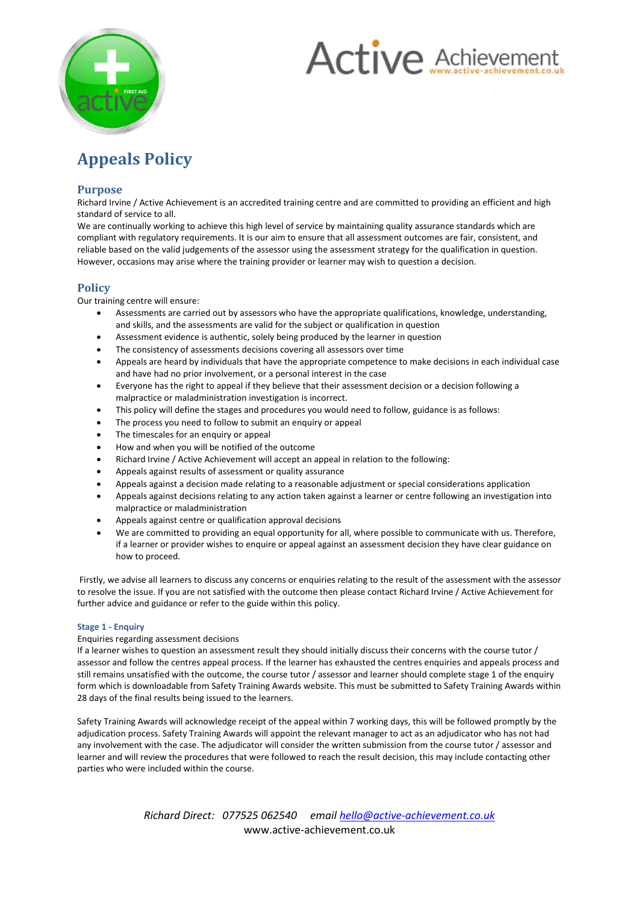



# **Appeals Policy**

## **Purpose**

Richard Irvine / Active Achievement is an accredited training centre and are committed to providing an efficient and high standard of service to all.

We are continually working to achieve this high level of service by maintaining quality assurance standards which are compliant with regulatory requirements. It is our aim to ensure that all assessment outcomes are fair, consistent, and reliable based on the valid judgements of the assessor using the assessment strategy for the qualification in question. However, occasions may arise where the training provider or learner may wish to question a decision.

## **Policy**

Our training centre will ensure:

- Assessments are carried out by assessors who have the appropriate qualifications, knowledge, understanding, and skills, and the assessments are valid for the subject or qualification in question
- Assessment evidence is authentic, solely being produced by the learner in question
- The consistency of assessments decisions covering all assessors over time
- Appeals are heard by individuals that have the appropriate competence to make decisions in each individual case and have had no prior involvement, or a personal interest in the case
- Everyone has the right to appeal if they believe that their assessment decision or a decision following a malpractice or maladministration investigation is incorrect.
- This policy will define the stages and procedures you would need to follow, guidance is as follows:
- The process you need to follow to submit an enquiry or appeal
- The timescales for an enquiry or appeal
- How and when you will be notified of the outcome
- Richard Irvine / Active Achievement will accept an appeal in relation to the following:
- Appeals against results of assessment or quality assurance
- Appeals against a decision made relating to a reasonable adjustment or special considerations application
- Appeals against decisions relating to any action taken against a learner or centre following an investigation into malpractice or maladministration
- Appeals against centre or qualification approval decisions
- We are committed to providing an equal opportunity for all, where possible to communicate with us. Therefore, if a learner or provider wishes to enquire or appeal against an assessment decision they have clear guidance on how to proceed.

Firstly, we advise all learners to discuss any concerns or enquiries relating to the result of the assessment with the assessor to resolve the issue. If you are not satisfied with the outcome then please contact Richard Irvine / Active Achievement for further advice and guidance or refer to the guide within this policy.

#### **Stage 1 - Enquiry**

#### Enquiries regarding assessment decisions

If a learner wishes to question an assessment result they should initially discuss their concerns with the course tutor / assessor and follow the centres appeal process. If the learner has exhausted the centres enquiries and appeals process and still remains unsatisfied with the outcome, the course tutor / assessor and learner should complete stage 1 of the enquiry form which is downloadable from Safety Training Awards website. This must be submitted to Safety Training Awards within 28 days of the final results being issued to the learners.

Safety Training Awards will acknowledge receipt of the appeal within 7 working days, this will be followed promptly by the adjudication process. Safety Training Awards will appoint the relevant manager to act as an adjudicator who has not had any involvement with the case. The adjudicator will consider the written submission from the course tutor / assessor and learner and will review the procedures that were followed to reach the result decision, this may include contacting other parties who were included within the course.

> *Richard Direct: 077525 062540 email hello@active-achievement.co.uk* www.active-achievement.co.uk